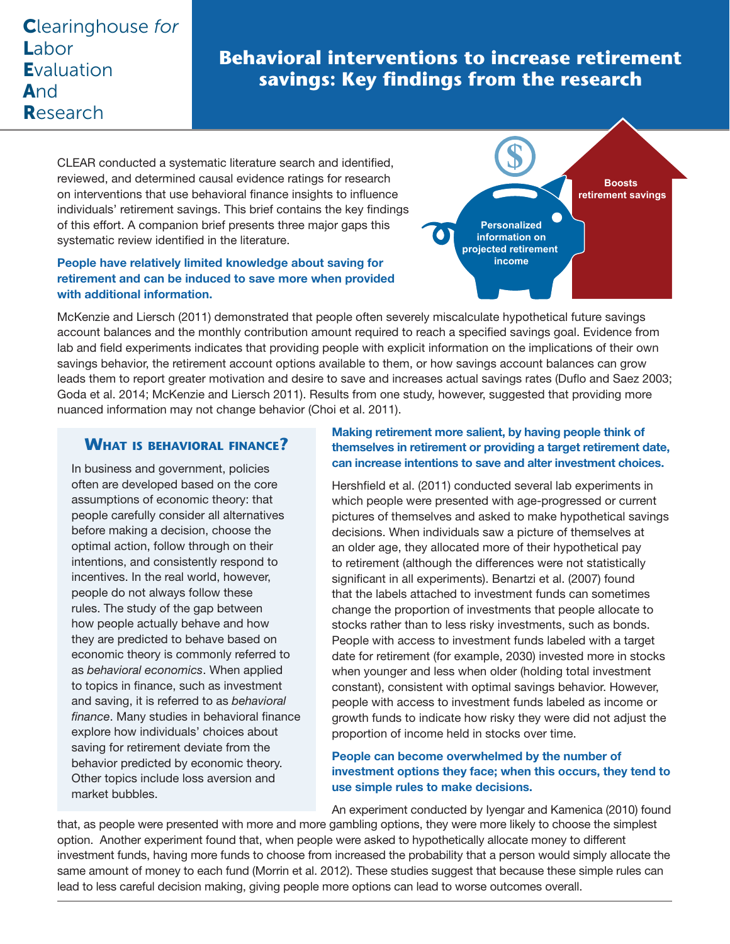# Clearinghouse *for* Labor **Evaluation** And Research

# **Behavioral interventions to increase retirement savings: Key findings from the research**

CLEAR conducted a systematic literature search and identified, reviewed, and determined causal evidence ratings for research on interventions that use behavioral finance insights to influence individuals' retirement savings. This brief contains the key findings of this effort. A companion brief presents three major gaps this systematic review identified in the literature.

#### People have relatively limited knowledge about saving for retirement and can be induced to save more when provided with additional information.



McKenzie and Liersch (2011) demonstrated that people often severely miscalculate hypothetical future savings account balances and the monthly contribution amount required to reach a specified savings goal. Evidence from lab and field experiments indicates that providing people with explicit information on the implications of their own savings behavior, the retirement account options available to them, or how savings account balances can grow leads them to report greater motivation and desire to save and increases actual savings rates (Duflo and Saez 2003; Goda et al. 2014; McKenzie and Liersch 2011). Results from one study, however, suggested that providing more nuanced information may not change behavior (Choi et al. 2011).

### **What is behavioral finance?**

In business and government, policies often are developed based on the core assumptions of economic theory: that people carefully consider all alternatives before making a decision, choose the optimal action, follow through on their intentions, and consistently respond to incentives. In the real world, however, people do not always follow these rules. The study of the gap between how people actually behave and how they are predicted to behave based on economic theory is commonly referred to as *behavioral economics*. When applied to topics in finance, such as investment and saving, it is referred to as *behavioral finance*. Many studies in behavioral finance explore how individuals' choices about saving for retirement deviate from the behavior predicted by economic theory. Other topics include loss aversion and market bubbles.

#### Making retirement more salient, by having people think of themselves in retirement or providing a target retirement date, can increase intentions to save and alter investment choices.

Hershfield et al. (2011) conducted several lab experiments in which people were presented with age-progressed or current pictures of themselves and asked to make hypothetical savings decisions. When individuals saw a picture of themselves at an older age, they allocated more of their hypothetical pay to retirement (although the differences were not statistically significant in all experiments). Benartzi et al. (2007) found that the labels attached to investment funds can sometimes change the proportion of investments that people allocate to stocks rather than to less risky investments, such as bonds. People with access to investment funds labeled with a target date for retirement (for example, 2030) invested more in stocks when younger and less when older (holding total investment constant), consistent with optimal savings behavior. However, people with access to investment funds labeled as income or growth funds to indicate how risky they were did not adjust the proportion of income held in stocks over time.

#### People can become overwhelmed by the number of investment options they face; when this occurs, they tend to use simple rules to make decisions.

An experiment conducted by Iyengar and Kamenica (2010) found

that, as people were presented with more and more gambling options, they were more likely to choose the simplest option. Another experiment found that, when people were asked to hypothetically allocate money to different investment funds, having more funds to choose from increased the probability that a person would simply allocate the same amount of money to each fund (Morrin et al. 2012). These studies suggest that because these simple rules can lead to less careful decision making, giving people more options can lead to worse outcomes overall.